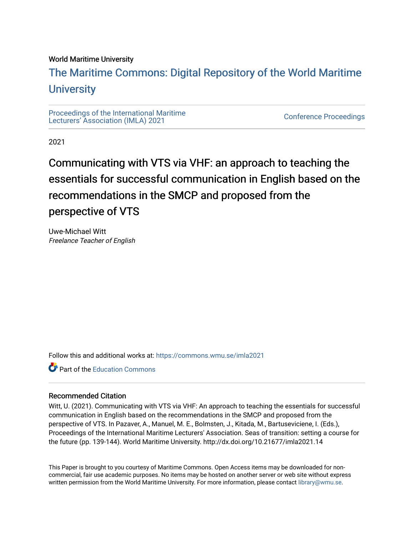#### World Maritime University

## [The Maritime Commons: Digital Repository of the World Maritime](https://commons.wmu.se/)  **University**

[Proceedings of the International Maritime](https://commons.wmu.se/imla2021)  Proceedings of the international manufacture<br>[Lecturers' Association \(IMLA\) 2021](https://commons.wmu.se/imla2021)

2021

# Communicating with VTS via VHF: an approach to teaching the essentials for successful communication in English based on the recommendations in the SMCP and proposed from the perspective of VTS

Uwe-Michael Witt Freelance Teacher of English

Follow this and additional works at: [https://commons.wmu.se/imla2021](https://commons.wmu.se/imla2021?utm_source=commons.wmu.se%2Fimla2021%2F15&utm_medium=PDF&utm_campaign=PDFCoverPages)

Part of the [Education Commons](http://network.bepress.com/hgg/discipline/784?utm_source=commons.wmu.se%2Fimla2021%2F15&utm_medium=PDF&utm_campaign=PDFCoverPages)

#### Recommended Citation

Witt, U. (2021). Communicating with VTS via VHF: An approach to teaching the essentials for successful communication in English based on the recommendations in the SMCP and proposed from the perspective of VTS. In Pazaver, A., Manuel, M. E., Bolmsten, J., Kitada, M., Bartuseviciene, I. (Eds.), Proceedings of the International Maritime Lecturers' Association. Seas of transition: setting a course for the future (pp. 139-144). World Maritime University. http://dx.doi.org/10.21677/imla2021.14

This Paper is brought to you courtesy of Maritime Commons. Open Access items may be downloaded for noncommercial, fair use academic purposes. No items may be hosted on another server or web site without express written permission from the World Maritime University. For more information, please contact [library@wmu.se](mailto:library@wmu.edu).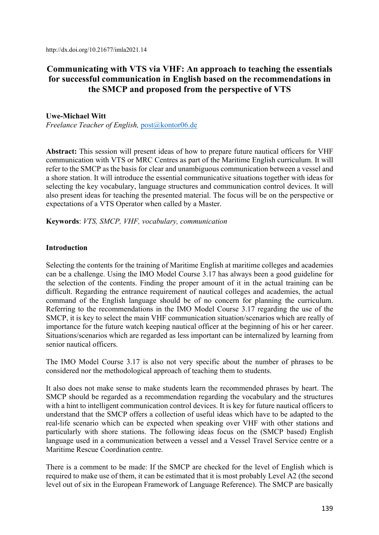http://dx.doi.org/10.21677/imla2021.14

### **Communicating with VTS via VHF: An approach to teaching the essentials for successful communication in English based on the recommendations in the SMCP and proposed from the perspective of VTS**

#### **Uwe-Michael Witt**

*Freelance Teacher of English,* post@kontor06.de

**Abstract:** This session will present ideas of how to prepare future nautical officers for VHF communication with VTS or MRC Centres as part of the Maritime English curriculum. It will refer to the SMCP as the basis for clear and unambiguous communication between a vessel and a shore station. It will introduce the essential communicative situations together with ideas for selecting the key vocabulary, language structures and communication control devices. It will also present ideas for teaching the presented material. The focus will be on the perspective or expectations of a VTS Operator when called by a Master.

**Keywords**: *VTS, SMCP, VHF, vocabulary, communication* 

#### **Introduction**

Selecting the contents for the training of Maritime English at maritime colleges and academies can be a challenge. Using the IMO Model Course 3.17 has always been a good guideline for the selection of the contents. Finding the proper amount of it in the actual training can be difficult. Regarding the entrance requirement of nautical colleges and academies, the actual command of the English language should be of no concern for planning the curriculum. Referring to the recommendations in the IMO Model Course 3.17 regarding the use of the SMCP, it is key to select the main VHF communication situation/scenarios which are really of importance for the future watch keeping nautical officer at the beginning of his or her career. Situations/scenarios which are regarded as less important can be internalized by learning from senior nautical officers.

The IMO Model Course 3.17 is also not very specific about the number of phrases to be considered nor the methodological approach of teaching them to students.

It also does not make sense to make students learn the recommended phrases by heart. The SMCP should be regarded as a recommendation regarding the vocabulary and the structures with a hint to intelligent communication control devices. It is key for future nautical officers to understand that the SMCP offers a collection of useful ideas which have to be adapted to the real-life scenario which can be expected when speaking over VHF with other stations and particularly with shore stations. The following ideas focus on the (SMCP based) English language used in a communication between a vessel and a Vessel Travel Service centre or a Maritime Rescue Coordination centre.

There is a comment to be made: If the SMCP are checked for the level of English which is required to make use of them, it can be estimated that it is most probably Level A2 (the second level out of six in the European Framework of Language Reference). The SMCP are basically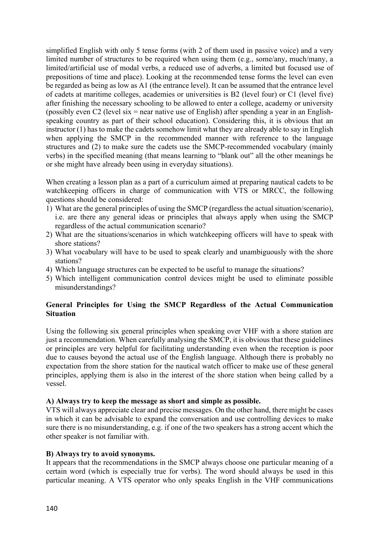simplified English with only 5 tense forms (with 2 of them used in passive voice) and a very limited number of structures to be required when using them (e.g., some/any, much/many, a limited/artificial use of modal verbs, a reduced use of adverbs, a limited but focused use of prepositions of time and place). Looking at the recommended tense forms the level can even be regarded as being as low as A1 (the entrance level). It can be assumed that the entrance level of cadets at maritime colleges, academies or universities is B2 (level four) or C1 (level five) after finishing the necessary schooling to be allowed to enter a college, academy or university (possibly even C2 (level six = near native use of English) after spending a year in an Englishspeaking country as part of their school education). Considering this, it is obvious that an instructor (1) has to make the cadets somehow limit what they are already able to say in English when applying the SMCP in the recommended manner with reference to the language structures and (2) to make sure the cadets use the SMCP-recommended vocabulary (mainly verbs) in the specified meaning (that means learning to "blank out" all the other meanings he or she might have already been using in everyday situations).

When creating a lesson plan as a part of a curriculum aimed at preparing nautical cadets to be watchkeeping officers in charge of communication with VTS or MRCC, the following questions should be considered:

- 1) What are the general principles of using the SMCP (regardless the actual situation/scenario), i.e. are there any general ideas or principles that always apply when using the SMCP regardless of the actual communication scenario?
- 2) What are the situations/scenarios in which watchkeeping officers will have to speak with shore stations?
- 3) What vocabulary will have to be used to speak clearly and unambiguously with the shore stations?
- 4) Which language structures can be expected to be useful to manage the situations?
- 5) Which intelligent communication control devices might be used to eliminate possible misunderstandings?

#### **General Principles for Using the SMCP Regardless of the Actual Communication Situation**

Using the following six general principles when speaking over VHF with a shore station are just a recommendation. When carefully analysing the SMCP, it is obvious that these guidelines or principles are very helpful for facilitating understanding even when the reception is poor due to causes beyond the actual use of the English language. Although there is probably no expectation from the shore station for the nautical watch officer to make use of these general principles, applying them is also in the interest of the shore station when being called by a vessel.

#### **A) Always try to keep the message as short and simple as possible.**

VTS will always appreciate clear and precise messages. On the other hand, there might be cases in which it can be advisable to expand the conversation and use controlling devices to make sure there is no misunderstanding, e.g. if one of the two speakers has a strong accent which the other speaker is not familiar with.

#### **B) Always try to avoid synonyms.**

It appears that the recommendations in the SMCP always choose one particular meaning of a certain word (which is especially true for verbs). The word should always be used in this particular meaning. A VTS operator who only speaks English in the VHF communications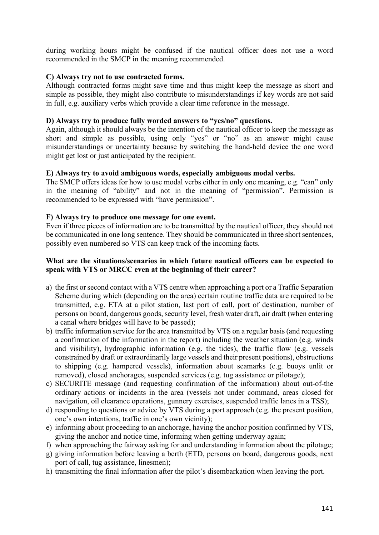during working hours might be confused if the nautical officer does not use a word recommended in the SMCP in the meaning recommended.

#### **C) Always try not to use contracted forms.**

Although contracted forms might save time and thus might keep the message as short and simple as possible, they might also contribute to misunderstandings if key words are not said in full, e.g. auxiliary verbs which provide a clear time reference in the message.

#### **D) Always try to produce fully worded answers to "yes/no" questions.**

Again, although it should always be the intention of the nautical officer to keep the message as short and simple as possible, using only "yes" or "no" as an answer might cause misunderstandings or uncertainty because by switching the hand-held device the one word might get lost or just anticipated by the recipient.

#### **E) Always try to avoid ambiguous words, especially ambiguous modal verbs.**

The SMCP offers ideas for how to use modal verbs either in only one meaning, e.g. "can" only in the meaning of "ability" and not in the meaning of "permission". Permission is recommended to be expressed with "have permission".

#### **F) Always try to produce one message for one event.**

Even if three pieces of information are to be transmitted by the nautical officer, they should not be communicated in one long sentence. They should be communicated in three short sentences, possibly even numbered so VTS can keep track of the incoming facts.

#### **What are the situations/scenarios in which future nautical officers can be expected to speak with VTS or MRCC even at the beginning of their career?**

- a) the first or second contact with a VTS centre when approaching a port or a Traffic Separation Scheme during which (depending on the area) certain routine traffic data are required to be transmitted, e.g. ETA at a pilot station, last port of call, port of destination, number of persons on board, dangerous goods, security level, fresh water draft, air draft (when entering a canal where bridges will have to be passed);
- b) traffic information service for the area transmitted by VTS on a regular basis (and requesting a confirmation of the information in the report) including the weather situation (e.g. winds and visibility), hydrographic information (e.g. the tides), the traffic flow (e.g. vessels constrained by draft or extraordinarily large vessels and their present positions), obstructions to shipping (e.g. hampered vessels), information about seamarks (e.g. buoys unlit or removed), closed anchorages, suspended services (e.g. tug assistance or pilotage);
- c) SECURITE message (and requesting confirmation of the information) about out-of-the ordinary actions or incidents in the area (vessels not under command, areas closed for navigation, oil clearance operations, gunnery exercises, suspended traffic lanes in a TSS);
- d) responding to questions or advice by VTS during a port approach (e.g. the present position, one's own intentions, traffic in one's own vicinity);
- e) informing about proceeding to an anchorage, having the anchor position confirmed by VTS, giving the anchor and notice time, informing when getting underway again;
- f) when approaching the fairway asking for and understanding information about the pilotage;
- g) giving information before leaving a berth (ETD, persons on board, dangerous goods, next port of call, tug assistance, linesmen);
- h) transmitting the final information after the pilot's disembarkation when leaving the port.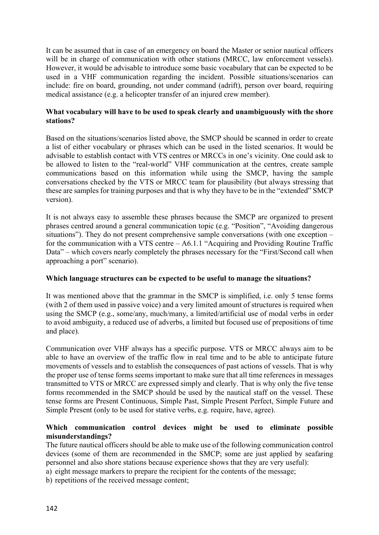It can be assumed that in case of an emergency on board the Master or senior nautical officers will be in charge of communication with other stations (MRCC, law enforcement vessels). However, it would be advisable to introduce some basic vocabulary that can be expected to be used in a VHF communication regarding the incident. Possible situations/scenarios can include: fire on board, grounding, not under command (adrift), person over board, requiring medical assistance (e.g. a helicopter transfer of an injured crew member).

#### **What vocabulary will have to be used to speak clearly and unambiguously with the shore stations?**

Based on the situations/scenarios listed above, the SMCP should be scanned in order to create a list of either vocabulary or phrases which can be used in the listed scenarios. It would be advisable to establish contact with VTS centres or MRCCs in one's vicinity. One could ask to be allowed to listen to the "real-world" VHF communication at the centres, create sample communications based on this information while using the SMCP, having the sample conversations checked by the VTS or MRCC team for plausibility (but always stressing that these are samples for training purposes and that is why they have to be in the "extended" SMCP version).

It is not always easy to assemble these phrases because the SMCP are organized to present phrases centred around a general communication topic (e.g. "Position", "Avoiding dangerous situations"). They do not present comprehensive sample conversations (with one exception – for the communication with a VTS centre – A6.1.1 "Acquiring and Providing Routine Traffic Data" – which covers nearly completely the phrases necessary for the "First/Second call when approaching a port" scenario).

#### **Which language structures can be expected to be useful to manage the situations?**

It was mentioned above that the grammar in the SMCP is simplified, i.e. only 5 tense forms (with 2 of them used in passive voice) and a very limited amount of structures is required when using the SMCP (e.g., some/any, much/many, a limited/artificial use of modal verbs in order to avoid ambiguity, a reduced use of adverbs, a limited but focused use of prepositions of time and place).

Communication over VHF always has a specific purpose. VTS or MRCC always aim to be able to have an overview of the traffic flow in real time and to be able to anticipate future movements of vessels and to establish the consequences of past actions of vessels. That is why the proper use of tense forms seems important to make sure that all time references in messages transmitted to VTS or MRCC are expressed simply and clearly. That is why only the five tense forms recommended in the SMCP should be used by the nautical staff on the vessel. These tense forms are Present Continuous, Simple Past, Simple Present Perfect, Simple Future and Simple Present (only to be used for stative verbs, e.g. require, have, agree).

#### **Which communication control devices might be used to eliminate possible misunderstandings?**

The future nautical officers should be able to make use of the following communication control devices (some of them are recommended in the SMCP; some are just applied by seafaring personnel and also shore stations because experience shows that they are very useful):

- a) eight message markers to prepare the recipient for the contents of the message;
- b) repetitions of the received message content;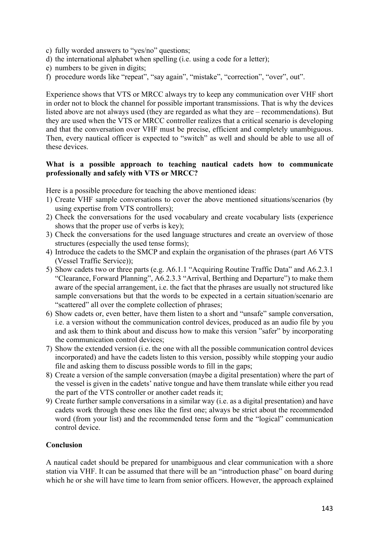- c) fully worded answers to "yes/no" questions;
- d) the international alphabet when spelling (i.e. using a code for a letter);
- e) numbers to be given in digits;
- f) procedure words like "repeat", "say again", "mistake", "correction", "over", out".

Experience shows that VTS or MRCC always try to keep any communication over VHF short in order not to block the channel for possible important transmissions. That is why the devices listed above are not always used (they are regarded as what they are – recommendations). But they are used when the VTS or MRCC controller realizes that a critical scenario is developing and that the conversation over VHF must be precise, efficient and completely unambiguous. Then, every nautical officer is expected to "switch" as well and should be able to use all of these devices.

#### **What is a possible approach to teaching nautical cadets how to communicate professionally and safely with VTS or MRCC?**

Here is a possible procedure for teaching the above mentioned ideas:

- 1) Create VHF sample conversations to cover the above mentioned situations/scenarios (by using expertise from VTS controllers);
- 2) Check the conversations for the used vocabulary and create vocabulary lists (experience shows that the proper use of verbs is key);
- 3) Check the conversations for the used language structures and create an overview of those structures (especially the used tense forms);
- 4) Introduce the cadets to the SMCP and explain the organisation of the phrases (part A6 VTS (Vessel Traffic Service));
- 5) Show cadets two or three parts (e.g. A6.1.1 "Acquiring Routine Traffic Data" and A6.2.3.1 "Clearance, Forward Planning", A6.2.3.3 "Arrival, Berthing and Departure") to make them aware of the special arrangement, i.e. the fact that the phrases are usually not structured like sample conversations but that the words to be expected in a certain situation/scenario are "scattered" all over the complete collection of phrases;
- 6) Show cadets or, even better, have them listen to a short and "unsafe" sample conversation, i.e. a version without the communication control devices, produced as an audio file by you and ask them to think about and discuss how to make this version "safer" by incorporating the communication control devices;
- 7) Show the extended version (i.e. the one with all the possible communication control devices incorporated) and have the cadets listen to this version, possibly while stopping your audio file and asking them to discuss possible words to fill in the gaps;
- 8) Create a version of the sample conversation (maybe a digital presentation) where the part of the vessel is given in the cadets' native tongue and have them translate while either you read the part of the VTS controller or another cadet reads it;
- 9) Create further sample conversations in a similar way (i.e. as a digital presentation) and have cadets work through these ones like the first one; always be strict about the recommended word (from your list) and the recommended tense form and the "logical" communication control device.

#### **Conclusion**

A nautical cadet should be prepared for unambiguous and clear communication with a shore station via VHF. It can be assumed that there will be an "introduction phase" on board during which he or she will have time to learn from senior officers. However, the approach explained